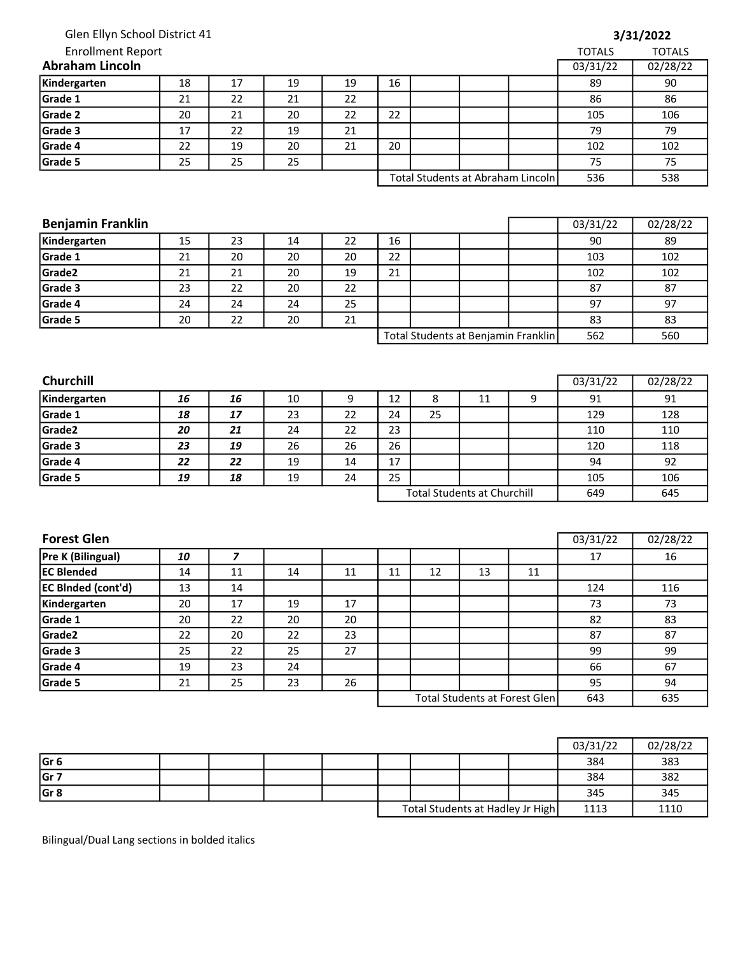| Glen Ellyn School District 41 |        |                         |    |                  |                                    |    |    |                                      |               | 3/31/2022     |
|-------------------------------|--------|-------------------------|----|------------------|------------------------------------|----|----|--------------------------------------|---------------|---------------|
| <b>Enrollment Report</b>      |        |                         |    |                  |                                    |    |    |                                      | <b>TOTALS</b> | <b>TOTALS</b> |
| <b>Abraham Lincoln</b>        |        |                         |    |                  |                                    |    |    |                                      | 03/31/22      | 02/28/22      |
| Kindergarten                  | 18     | 17                      | 19 | 19               | 16                                 |    |    |                                      | 89            | 90            |
| Grade 1                       | 21     | 22                      | 21 | 22               |                                    |    |    |                                      | 86            | 86            |
| Grade 2                       | 20     | 21                      | 20 | 22               | 22                                 |    |    |                                      | 105           | 106           |
| Grade 3                       | 17     | 22                      | 19 | 21               |                                    |    |    |                                      | 79            | 79            |
| Grade 4                       | 22     | 19                      | 20 | 21               | 20                                 |    |    |                                      | 102           | 102           |
| Grade 5                       | 25     | 25                      | 25 |                  |                                    |    |    |                                      | 75            | 75            |
|                               |        |                         |    |                  |                                    |    |    | Total Students at Abraham Lincoln    | 536           | 538           |
|                               |        |                         |    |                  |                                    |    |    |                                      |               |               |
|                               |        |                         |    |                  |                                    |    |    |                                      |               |               |
| <b>Benjamin Franklin</b>      |        |                         |    |                  |                                    |    |    |                                      | 03/31/22      | 02/28/22      |
| Kindergarten                  | 15     | 23                      | 14 | 22               | 16                                 |    |    |                                      | 90            | 89            |
| Grade 1                       | 21     | 20                      | 20 | 20               | 22                                 |    |    |                                      | 103           | 102           |
| Grade2                        | 21     | 21                      | 20 | 19               | 21                                 |    |    |                                      | 102           | 102           |
| Grade 3                       | 23     | 22                      | 20 | 22               |                                    |    |    |                                      | 87            | 87            |
| Grade 4                       | 24     | 24                      | 24 | 25               |                                    |    |    |                                      | 97            | 97            |
| Grade 5                       | 20     | 22                      | 20 | 21               |                                    |    |    |                                      | 83            | 83            |
|                               |        |                         |    |                  |                                    |    |    | Total Students at Benjamin Franklin  | 562           | 560           |
|                               |        |                         |    |                  |                                    |    |    |                                      |               |               |
|                               |        |                         |    |                  |                                    |    |    |                                      |               |               |
| <b>Churchill</b>              |        |                         |    |                  |                                    |    |    |                                      | 03/31/22      | 02/28/22      |
| Kindergarten                  | 16     | 16                      | 10 | $\boldsymbol{9}$ | 12                                 | 8  | 11 | 9                                    | 91            | 91            |
| Grade 1                       | 18     | 17                      | 23 | 22               | 24                                 | 25 |    |                                      | 129           | 128           |
| Grade2                        | 20     | 21                      | 24 | 22               | 23                                 |    |    |                                      | 110           | 110           |
| Grade 3                       | 23     | 19                      | 26 | 26               | 26                                 |    |    |                                      | 120           | 118           |
| Grade 4                       | 22     | 22                      | 19 | 14               | 17                                 |    |    |                                      | 94            | 92            |
| Grade 5                       | 19     | 18                      | 19 | 24               | 25                                 |    |    |                                      | 105           | 106           |
|                               |        |                         |    |                  | <b>Total Students at Churchill</b> |    |    | 649                                  | 645           |               |
|                               |        |                         |    |                  |                                    |    |    |                                      |               |               |
|                               |        |                         |    |                  |                                    |    |    |                                      |               |               |
| <b>Forest Glen</b>            |        |                         |    |                  |                                    |    |    |                                      | 03/31/22      | 02/28/22      |
| Pre K (Bilingual)             | 10     | $\overline{\mathbf{z}}$ |    |                  |                                    |    |    |                                      | 17            | 16            |
| <b>EC Blended</b>             | $14\,$ | $11\,$                  | 14 | $11\,$           | $11\,$                             | 12 | 13 | $11\,$                               |               |               |
| EC BInded (cont'd)            | 13     | 14                      |    |                  |                                    |    |    |                                      | 124           | 116           |
| Kindergarten                  | 20     | 17                      | 19 | 17               |                                    |    |    |                                      | 73            | 73            |
| Grade 1                       | 20     | 22                      | 20 | 20               |                                    |    |    |                                      | 82            | 83            |
| Grade <sub>2</sub>            | 22     | 20                      | 22 | 23               |                                    |    |    |                                      | 87            | 87            |
| Grade 3                       | 25     | 22                      | 25 | 27               |                                    |    |    |                                      | 99            | 99            |
| Grade 4                       | 19     | 23                      | 24 |                  |                                    |    |    |                                      | 66            | 67            |
| Grade 5                       | 21     | 25                      | 23 | 26               |                                    |    |    |                                      | 95            | 94            |
|                               |        |                         |    |                  |                                    |    |    | <b>Total Students at Forest Glen</b> | 643           | 635           |
|                               |        |                         |    |                  |                                    |    |    |                                      |               |               |
|                               |        |                         |    |                  |                                    |    |    |                                      |               |               |
|                               |        |                         |    |                  |                                    |    |    |                                      | 03/31/22      | 02/28/22      |

|       |  |  |                                  |  |  |      | 03/31/22 | 02/28/22 |
|-------|--|--|----------------------------------|--|--|------|----------|----------|
| lGr 6 |  |  |                                  |  |  |      | 384      | 383      |
| lGr 7 |  |  |                                  |  |  |      | 384      | 382      |
| lGr 8 |  |  |                                  |  |  |      | 345      | 345      |
|       |  |  | Total Students at Hadley Jr High |  |  | 1113 | 1110     |          |

Bilingual/Dual Lang sections in bolded italics